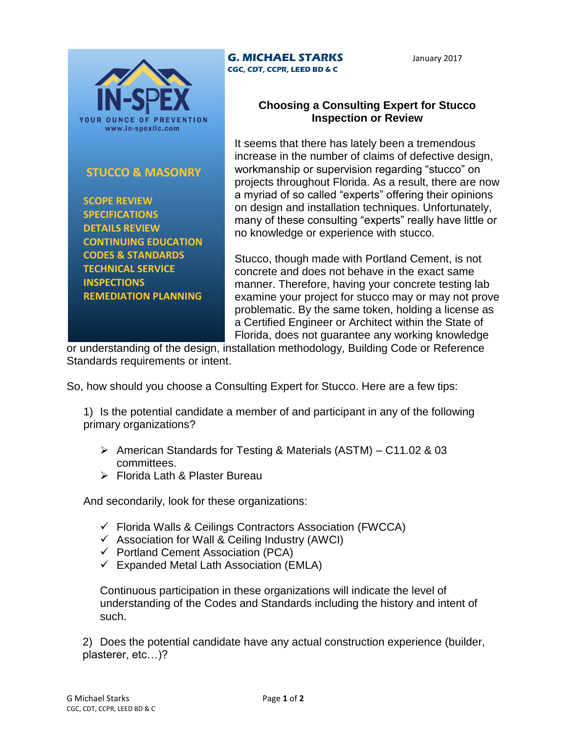

## **STUCCO & MASONRY**

 **SCOPE REVIEW SPECIFICATIONS DETAILS REVIEW CONTINUING EDUCATION CODES & STANDARDS TECHNICAL SERVICE INSPECTIONS REMEDIATION PLANNING**

## **G. MICHAEL STARKS CGC, CDT, CCPR, LEED BD & C**

January 2017

## **Choosing a Consulting Expert for Stucco Inspection or Review**

It seems that there has lately been a tremendous increase in the number of claims of defective design, workmanship or supervision regarding "stucco" on projects throughout Florida. As a result, there are now a myriad of so called "experts" offering their opinions on design and installation techniques. Unfortunately, many of these consulting "experts" really have little or no knowledge or experience with stucco.

Stucco, though made with Portland Cement, is not concrete and does not behave in the exact same manner. Therefore, having your concrete testing lab examine your project for stucco may or may not prove problematic. By the same token, holding a license as a Certified Engineer or Architect within the State of Florida, does not guarantee any working knowledge

or understanding of the design, installation methodology, Building Code or Reference Standards requirements or intent.

So, how should you choose a Consulting Expert for Stucco. Here are a few tips:

1) Is the potential candidate a member of and participant in any of the following primary organizations?

- $\triangleright$  American Standards for Testing & Materials (ASTM) C11.02 & 03 committees.
- Florida Lath & Plaster Bureau

And secondarily, look for these organizations:

- $\checkmark$  Florida Walls & Ceilings Contractors Association (FWCCA)
- $\checkmark$  Association for Wall & Ceiling Industry (AWCI)
- $\checkmark$  Portland Cement Association (PCA)
- $\checkmark$  Expanded Metal Lath Association (EMLA)

Continuous participation in these organizations will indicate the level of understanding of the Codes and Standards including the history and intent of such.

2) Does the potential candidate have any actual construction experience (builder, plasterer, etc…)?